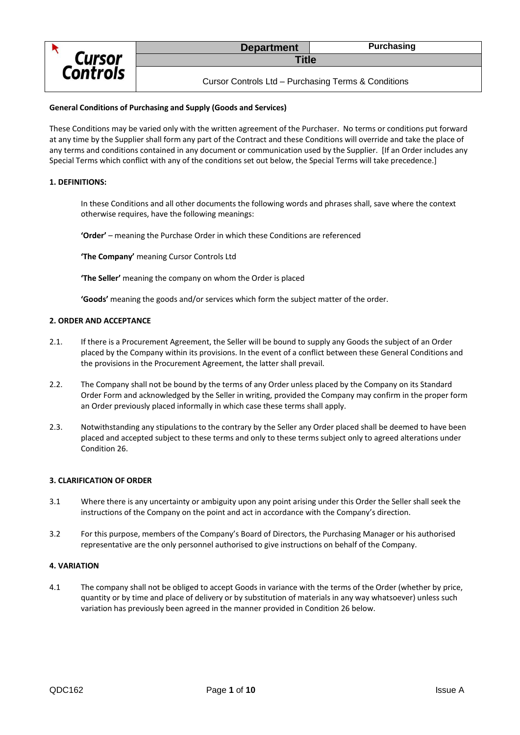

## **General Conditions of Purchasing and Supply (Goods and Services)**

These Conditions may be varied only with the written agreement of the Purchaser. No terms or conditions put forward at any time by the Supplier shall form any part of the Contract and these Conditions will override and take the place of any terms and conditions contained in any document or communication used by the Supplier. [If an Order includes any Special Terms which conflict with any of the conditions set out below, the Special Terms will take precedence.]

## **1. DEFINITIONS:**

In these Conditions and all other documents the following words and phrases shall, save where the context otherwise requires, have the following meanings:

**'Order'** – meaning the Purchase Order in which these Conditions are referenced

**'The Company'** meaning Cursor Controls Ltd

**'The Seller'** meaning the company on whom the Order is placed

**'Goods'** meaning the goods and/or services which form the subject matter of the order.

## **2. ORDER AND ACCEPTANCE**

- 2.1. If there is a Procurement Agreement, the Seller will be bound to supply any Goods the subject of an Order placed by the Company within its provisions. In the event of a conflict between these General Conditions and the provisions in the Procurement Agreement, the latter shall prevail.
- 2.2. The Company shall not be bound by the terms of any Order unless placed by the Company on its Standard Order Form and acknowledged by the Seller in writing, provided the Company may confirm in the proper form an Order previously placed informally in which case these terms shall apply.
- 2.3. Notwithstanding any stipulations to the contrary by the Seller any Order placed shall be deemed to have been placed and accepted subject to these terms and only to these terms subject only to agreed alterations under Condition 26.

## **3. CLARIFICATION OF ORDER**

- 3.1 Where there is any uncertainty or ambiguity upon any point arising under this Order the Seller shall seek the instructions of the Company on the point and act in accordance with the Company's direction.
- 3.2 For this purpose, members of the Company's Board of Directors, the Purchasing Manager or his authorised representative are the only personnel authorised to give instructions on behalf of the Company.

## **4. VARIATION**

4.1 The company shall not be obliged to accept Goods in variance with the terms of the Order (whether by price, quantity or by time and place of delivery or by substitution of materials in any way whatsoever) unless such variation has previously been agreed in the manner provided in Condition 26 below.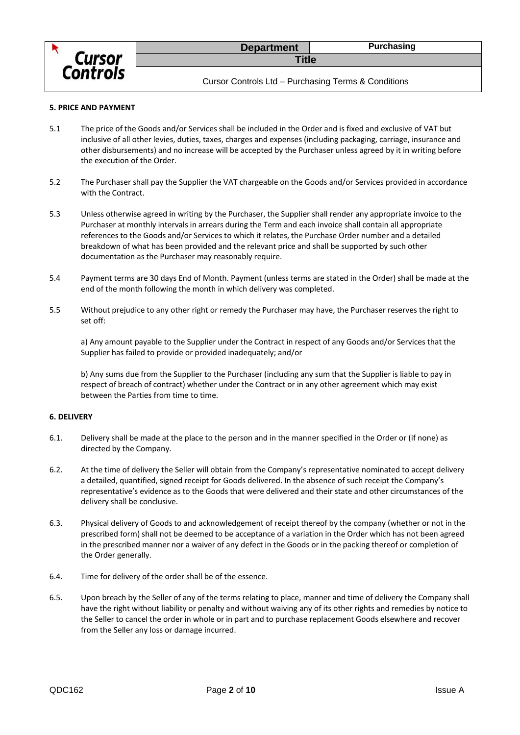

#### **5. PRICE AND PAYMENT**

- 5.1 The price of the Goods and/or Services shall be included in the Order and is fixed and exclusive of VAT but inclusive of all other levies, duties, taxes, charges and expenses (including packaging, carriage, insurance and other disbursements) and no increase will be accepted by the Purchaser unless agreed by it in writing before the execution of the Order.
- 5.2 The Purchaser shall pay the Supplier the VAT chargeable on the Goods and/or Services provided in accordance with the Contract.
- 5.3 Unless otherwise agreed in writing by the Purchaser, the Supplier shall render any appropriate invoice to the Purchaser at monthly intervals in arrears during the Term and each invoice shall contain all appropriate references to the Goods and/or Services to which it relates, the Purchase Order number and a detailed breakdown of what has been provided and the relevant price and shall be supported by such other documentation as the Purchaser may reasonably require.
- 5.4 Payment terms are 30 days End of Month. Payment (unless terms are stated in the Order) shall be made at the end of the month following the month in which delivery was completed.
- 5.5 Without prejudice to any other right or remedy the Purchaser may have, the Purchaser reserves the right to set off:

a) Any amount payable to the Supplier under the Contract in respect of any Goods and/or Services that the Supplier has failed to provide or provided inadequately; and/or

b) Any sums due from the Supplier to the Purchaser (including any sum that the Supplier is liable to pay in respect of breach of contract) whether under the Contract or in any other agreement which may exist between the Parties from time to time.

#### **6. DELIVERY**

- 6.1. Delivery shall be made at the place to the person and in the manner specified in the Order or (if none) as directed by the Company.
- 6.2. At the time of delivery the Seller will obtain from the Company's representative nominated to accept delivery a detailed, quantified, signed receipt for Goods delivered. In the absence of such receipt the Company's representative's evidence as to the Goods that were delivered and their state and other circumstances of the delivery shall be conclusive.
- 6.3. Physical delivery of Goods to and acknowledgement of receipt thereof by the company (whether or not in the prescribed form) shall not be deemed to be acceptance of a variation in the Order which has not been agreed in the prescribed manner nor a waiver of any defect in the Goods or in the packing thereof or completion of the Order generally.
- 6.4. Time for delivery of the order shall be of the essence.
- 6.5. Upon breach by the Seller of any of the terms relating to place, manner and time of delivery the Company shall have the right without liability or penalty and without waiving any of its other rights and remedies by notice to the Seller to cancel the order in whole or in part and to purchase replacement Goods elsewhere and recover from the Seller any loss or damage incurred.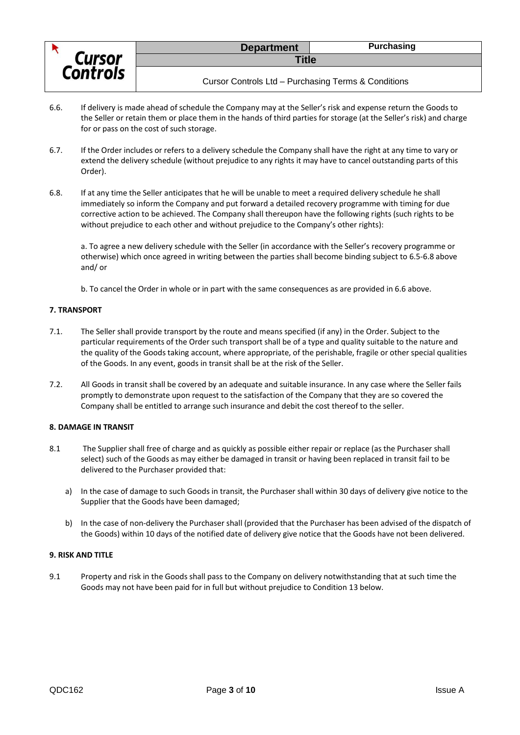

- 6.6. If delivery is made ahead of schedule the Company may at the Seller's risk and expense return the Goods to the Seller or retain them or place them in the hands of third parties for storage (at the Seller's risk) and charge for or pass on the cost of such storage.
- 6.7. If the Order includes or refers to a delivery schedule the Company shall have the right at any time to vary or extend the delivery schedule (without prejudice to any rights it may have to cancel outstanding parts of this Order).
- 6.8. If at any time the Seller anticipates that he will be unable to meet a required delivery schedule he shall immediately so inform the Company and put forward a detailed recovery programme with timing for due corrective action to be achieved. The Company shall thereupon have the following rights (such rights to be without prejudice to each other and without prejudice to the Company's other rights):

a. To agree a new delivery schedule with the Seller (in accordance with the Seller's recovery programme or otherwise) which once agreed in writing between the parties shall become binding subject to 6.5-6.8 above and/ or

b. To cancel the Order in whole or in part with the same consequences as are provided in 6.6 above.

## **7. TRANSPORT**

- 7.1. The Seller shall provide transport by the route and means specified (if any) in the Order. Subject to the particular requirements of the Order such transport shall be of a type and quality suitable to the nature and the quality of the Goods taking account, where appropriate, of the perishable, fragile or other special qualities of the Goods. In any event, goods in transit shall be at the risk of the Seller.
- 7.2. All Goods in transit shall be covered by an adequate and suitable insurance. In any case where the Seller fails promptly to demonstrate upon request to the satisfaction of the Company that they are so covered the Company shall be entitled to arrange such insurance and debit the cost thereof to the seller.

## **8. DAMAGE IN TRANSIT**

- 8.1 The Supplier shall free of charge and as quickly as possible either repair or replace (as the Purchaser shall select) such of the Goods as may either be damaged in transit or having been replaced in transit fail to be delivered to the Purchaser provided that:
	- a) In the case of damage to such Goods in transit, the Purchaser shall within 30 days of delivery give notice to the Supplier that the Goods have been damaged;
	- b) In the case of non-delivery the Purchaser shall (provided that the Purchaser has been advised of the dispatch of the Goods) within 10 days of the notified date of delivery give notice that the Goods have not been delivered.

#### **9. RISK AND TITLE**

9.1 Property and risk in the Goods shall pass to the Company on delivery notwithstanding that at such time the Goods may not have been paid for in full but without prejudice to Condition 13 below.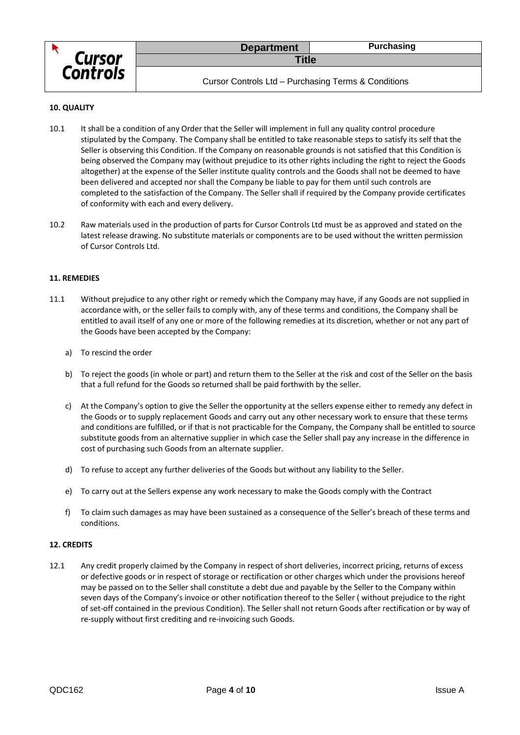

Cursor Controls Ltd – Purchasing Terms & Conditions

## **10. QUALITY**

- 10.1 It shall be a condition of any Order that the Seller will implement in full any quality control procedure stipulated by the Company. The Company shall be entitled to take reasonable steps to satisfy its self that the Seller is observing this Condition. If the Company on reasonable grounds is not satisfied that this Condition is being observed the Company may (without prejudice to its other rights including the right to reject the Goods altogether) at the expense of the Seller institute quality controls and the Goods shall not be deemed to have been delivered and accepted nor shall the Company be liable to pay for them until such controls are completed to the satisfaction of the Company. The Seller shall if required by the Company provide certificates of conformity with each and every delivery.
- 10.2 Raw materials used in the production of parts for Cursor Controls Ltd must be as approved and stated on the latest release drawing. No substitute materials or components are to be used without the written permission of Cursor Controls Ltd.

## **11. REMEDIES**

- 11.1 Without prejudice to any other right or remedy which the Company may have, if any Goods are not supplied in accordance with, or the seller fails to comply with, any of these terms and conditions, the Company shall be entitled to avail itself of any one or more of the following remedies at its discretion, whether or not any part of the Goods have been accepted by the Company:
	- a) To rescind the order
	- b) To reject the goods (in whole or part) and return them to the Seller at the risk and cost of the Seller on the basis that a full refund for the Goods so returned shall be paid forthwith by the seller.
	- c) At the Company's option to give the Seller the opportunity at the sellers expense either to remedy any defect in the Goods or to supply replacement Goods and carry out any other necessary work to ensure that these terms and conditions are fulfilled, or if that is not practicable for the Company, the Company shall be entitled to source substitute goods from an alternative supplier in which case the Seller shall pay any increase in the difference in cost of purchasing such Goods from an alternate supplier.
	- d) To refuse to accept any further deliveries of the Goods but without any liability to the Seller.
	- e) To carry out at the Sellers expense any work necessary to make the Goods comply with the Contract
	- f) To claim such damages as may have been sustained as a consequence of the Seller's breach of these terms and conditions.

## **12. CREDITS**

12.1 Any credit properly claimed by the Company in respect of short deliveries, incorrect pricing, returns of excess or defective goods or in respect of storage or rectification or other charges which under the provisions hereof may be passed on to the Seller shall constitute a debt due and payable by the Seller to the Company within seven days of the Company's invoice or other notification thereof to the Seller ( without prejudice to the right of set-off contained in the previous Condition). The Seller shall not return Goods after rectification or by way of re-supply without first crediting and re-invoicing such Goods.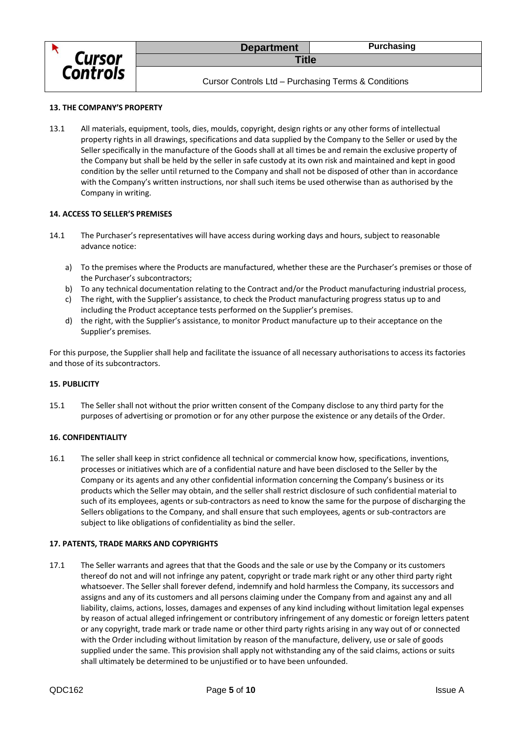

Cursor Controls Ltd – Purchasing Terms & Conditions

## **13. THE COMPANY'S PROPERTY**

13.1 All materials, equipment, tools, dies, moulds, copyright, design rights or any other forms of intellectual property rights in all drawings, specifications and data supplied by the Company to the Seller or used by the Seller specifically in the manufacture of the Goods shall at all times be and remain the exclusive property of the Company but shall be held by the seller in safe custody at its own risk and maintained and kept in good condition by the seller until returned to the Company and shall not be disposed of other than in accordance with the Company's written instructions, nor shall such items be used otherwise than as authorised by the Company in writing.

## **14. ACCESS TO SELLER'S PREMISES**

- 14.1 The Purchaser's representatives will have access during working days and hours, subject to reasonable advance notice:
	- a) To the premises where the Products are manufactured, whether these are the Purchaser's premises or those of the Purchaser's subcontractors;
	- b) To any technical documentation relating to the Contract and/or the Product manufacturing industrial process,
	- c) The right, with the Supplier's assistance, to check the Product manufacturing progress status up to and including the Product acceptance tests performed on the Supplier's premises.
	- d) the right, with the Supplier's assistance, to monitor Product manufacture up to their acceptance on the Supplier's premises.

For this purpose, the Supplier shall help and facilitate the issuance of all necessary authorisations to access its factories and those of its subcontractors.

#### **15. PUBLICITY**

15.1 The Seller shall not without the prior written consent of the Company disclose to any third party for the purposes of advertising or promotion or for any other purpose the existence or any details of the Order.

## **16. CONFIDENTIALITY**

16.1 The seller shall keep in strict confidence all technical or commercial know how, specifications, inventions, processes or initiatives which are of a confidential nature and have been disclosed to the Seller by the Company or its agents and any other confidential information concerning the Company's business or its products which the Seller may obtain, and the seller shall restrict disclosure of such confidential material to such of its employees, agents or sub-contractors as need to know the same for the purpose of discharging the Sellers obligations to the Company, and shall ensure that such employees, agents or sub-contractors are subject to like obligations of confidentiality as bind the seller.

## **17. PATENTS, TRADE MARKS AND COPYRIGHTS**

17.1 The Seller warrants and agrees that that the Goods and the sale or use by the Company or its customers thereof do not and will not infringe any patent, copyright or trade mark right or any other third party right whatsoever. The Seller shall forever defend, indemnify and hold harmless the Company, its successors and assigns and any of its customers and all persons claiming under the Company from and against any and all liability, claims, actions, losses, damages and expenses of any kind including without limitation legal expenses by reason of actual alleged infringement or contributory infringement of any domestic or foreign letters patent or any copyright, trade mark or trade name or other third party rights arising in any way out of or connected with the Order including without limitation by reason of the manufacture, delivery, use or sale of goods supplied under the same. This provision shall apply not withstanding any of the said claims, actions or suits shall ultimately be determined to be unjustified or to have been unfounded.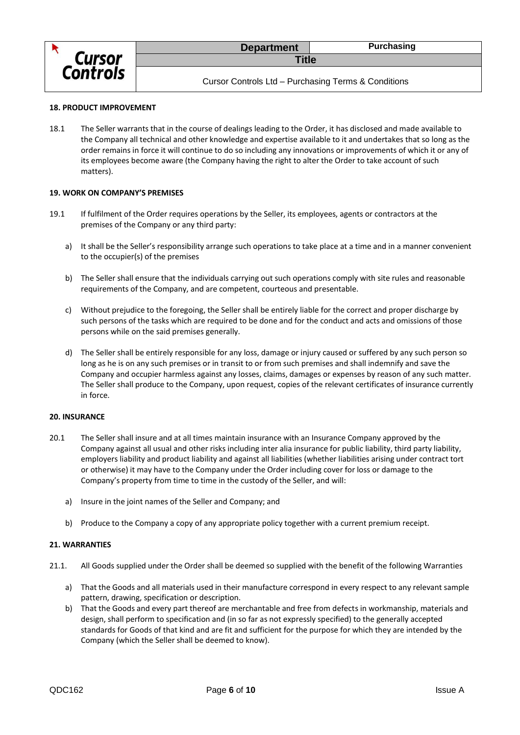

Cursor Controls Ltd – Purchasing Terms & Conditions

## **18. PRODUCT IMPROVEMENT**

18.1 The Seller warrants that in the course of dealings leading to the Order, it has disclosed and made available to the Company all technical and other knowledge and expertise available to it and undertakes that so long as the order remains in force it will continue to do so including any innovations or improvements of which it or any of its employees become aware (the Company having the right to alter the Order to take account of such matters).

## **19. WORK ON COMPANY'S PREMISES**

- 19.1 If fulfilment of the Order requires operations by the Seller, its employees, agents or contractors at the premises of the Company or any third party:
	- a) It shall be the Seller's responsibility arrange such operations to take place at a time and in a manner convenient to the occupier(s) of the premises
	- b) The Seller shall ensure that the individuals carrying out such operations comply with site rules and reasonable requirements of the Company, and are competent, courteous and presentable.
	- c) Without prejudice to the foregoing, the Seller shall be entirely liable for the correct and proper discharge by such persons of the tasks which are required to be done and for the conduct and acts and omissions of those persons while on the said premises generally.
	- d) The Seller shall be entirely responsible for any loss, damage or injury caused or suffered by any such person so long as he is on any such premises or in transit to or from such premises and shall indemnify and save the Company and occupier harmless against any losses, claims, damages or expenses by reason of any such matter. The Seller shall produce to the Company, upon request, copies of the relevant certificates of insurance currently in force.

#### **20. INSURANCE**

- 20.1 The Seller shall insure and at all times maintain insurance with an Insurance Company approved by the Company against all usual and other risks including inter alia insurance for public liability, third party liability, employers liability and product liability and against all liabilities (whether liabilities arising under contract tort or otherwise) it may have to the Company under the Order including cover for loss or damage to the Company's property from time to time in the custody of the Seller, and will:
	- a) Insure in the joint names of the Seller and Company; and
	- b) Produce to the Company a copy of any appropriate policy together with a current premium receipt.

#### **21. WARRANTIES**

- 21.1. All Goods supplied under the Order shall be deemed so supplied with the benefit of the following Warranties
	- a) That the Goods and all materials used in their manufacture correspond in every respect to any relevant sample pattern, drawing, specification or description.
	- b) That the Goods and every part thereof are merchantable and free from defects in workmanship, materials and design, shall perform to specification and (in so far as not expressly specified) to the generally accepted standards for Goods of that kind and are fit and sufficient for the purpose for which they are intended by the Company (which the Seller shall be deemed to know).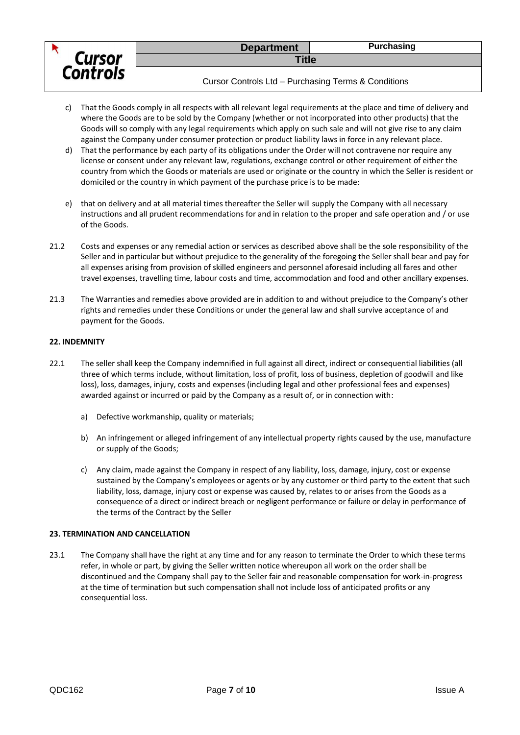

Cursor Controls Ltd – Purchasing Terms & Conditions

- c) That the Goods comply in all respects with all relevant legal requirements at the place and time of delivery and where the Goods are to be sold by the Company (whether or not incorporated into other products) that the Goods will so comply with any legal requirements which apply on such sale and will not give rise to any claim against the Company under consumer protection or product liability laws in force in any relevant place.
- d) That the performance by each party of its obligations under the Order will not contravene nor require any license or consent under any relevant law, regulations, exchange control or other requirement of either the country from which the Goods or materials are used or originate or the country in which the Seller is resident or domiciled or the country in which payment of the purchase price is to be made:
- e) that on delivery and at all material times thereafter the Seller will supply the Company with all necessary instructions and all prudent recommendations for and in relation to the proper and safe operation and / or use of the Goods.
- 21.2 Costs and expenses or any remedial action or services as described above shall be the sole responsibility of the Seller and in particular but without prejudice to the generality of the foregoing the Seller shall bear and pay for all expenses arising from provision of skilled engineers and personnel aforesaid including all fares and other travel expenses, travelling time, labour costs and time, accommodation and food and other ancillary expenses.
- 21.3 The Warranties and remedies above provided are in addition to and without prejudice to the Company's other rights and remedies under these Conditions or under the general law and shall survive acceptance of and payment for the Goods.

## **22. INDEMNITY**

- 22.1 The seller shall keep the Company indemnified in full against all direct, indirect or consequential liabilities (all three of which terms include, without limitation, loss of profit, loss of business, depletion of goodwill and like loss), loss, damages, injury, costs and expenses (including legal and other professional fees and expenses) awarded against or incurred or paid by the Company as a result of, or in connection with:
	- a) Defective workmanship, quality or materials;
	- b) An infringement or alleged infringement of any intellectual property rights caused by the use, manufacture or supply of the Goods;
	- c) Any claim, made against the Company in respect of any liability, loss, damage, injury, cost or expense sustained by the Company's employees or agents or by any customer or third party to the extent that such liability, loss, damage, injury cost or expense was caused by, relates to or arises from the Goods as a consequence of a direct or indirect breach or negligent performance or failure or delay in performance of the terms of the Contract by the Seller

## **23. TERMINATION AND CANCELLATION**

23.1 The Company shall have the right at any time and for any reason to terminate the Order to which these terms refer, in whole or part, by giving the Seller written notice whereupon all work on the order shall be discontinued and the Company shall pay to the Seller fair and reasonable compensation for work-in-progress at the time of termination but such compensation shall not include loss of anticipated profits or any consequential loss.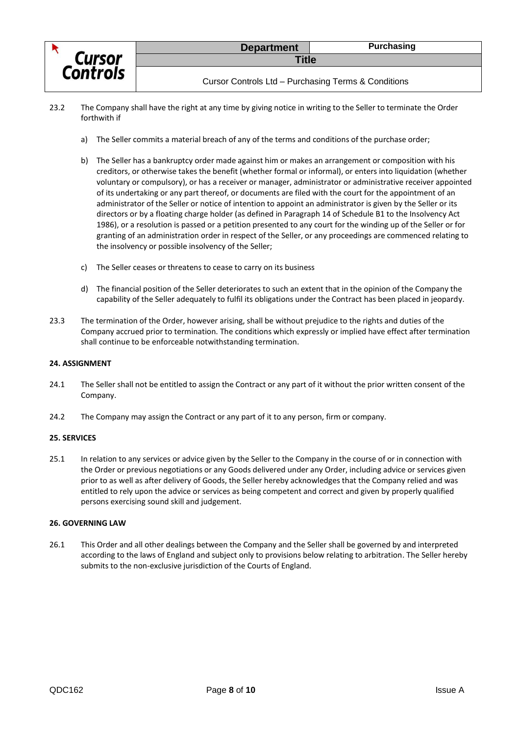

- 23.2 The Company shall have the right at any time by giving notice in writing to the Seller to terminate the Order forthwith if
	- a) The Seller commits a material breach of any of the terms and conditions of the purchase order;
	- b) The Seller has a bankruptcy order made against him or makes an arrangement or composition with his creditors, or otherwise takes the benefit (whether formal or informal), or enters into liquidation (whether voluntary or compulsory), or has a receiver or manager, administrator or administrative receiver appointed of its undertaking or any part thereof, or documents are filed with the court for the appointment of an administrator of the Seller or notice of intention to appoint an administrator is given by the Seller or its directors or by a floating charge holder (as defined in Paragraph 14 of Schedule B1 to the Insolvency Act 1986), or a resolution is passed or a petition presented to any court for the winding up of the Seller or for granting of an administration order in respect of the Seller, or any proceedings are commenced relating to the insolvency or possible insolvency of the Seller;
	- c) The Seller ceases or threatens to cease to carry on its business
	- d) The financial position of the Seller deteriorates to such an extent that in the opinion of the Company the capability of the Seller adequately to fulfil its obligations under the Contract has been placed in jeopardy.
- 23.3 The termination of the Order, however arising, shall be without prejudice to the rights and duties of the Company accrued prior to termination. The conditions which expressly or implied have effect after termination shall continue to be enforceable notwithstanding termination.

#### **24. ASSIGNMENT**

- 24.1 The Seller shall not be entitled to assign the Contract or any part of it without the prior written consent of the Company.
- 24.2 The Company may assign the Contract or any part of it to any person, firm or company.

## **25. SERVICES**

25.1 In relation to any services or advice given by the Seller to the Company in the course of or in connection with the Order or previous negotiations or any Goods delivered under any Order, including advice or services given prior to as well as after delivery of Goods, the Seller hereby acknowledges that the Company relied and was entitled to rely upon the advice or services as being competent and correct and given by properly qualified persons exercising sound skill and judgement.

#### **26. GOVERNING LAW**

26.1 This Order and all other dealings between the Company and the Seller shall be governed by and interpreted according to the laws of England and subject only to provisions below relating to arbitration. The Seller hereby submits to the non-exclusive jurisdiction of the Courts of England.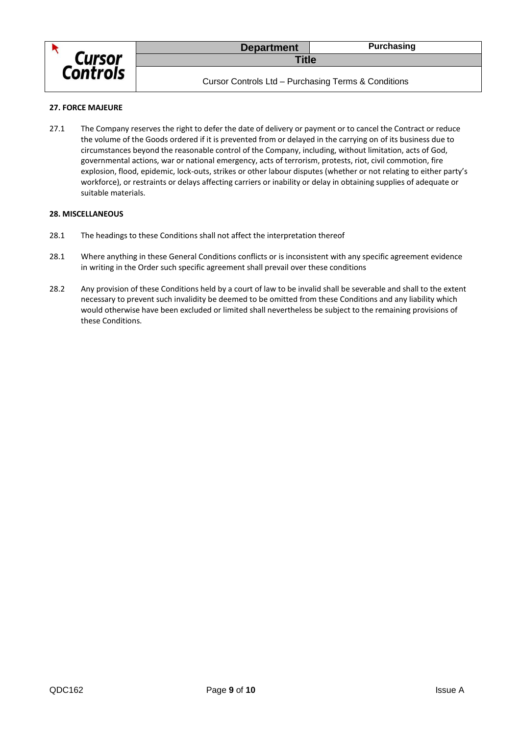

Cursor Controls Ltd – Purchasing Terms & Conditions

## **27. FORCE MAJEURE**

27.1 The Company reserves the right to defer the date of delivery or payment or to cancel the Contract or reduce the volume of the Goods ordered if it is prevented from or delayed in the carrying on of its business due to circumstances beyond the reasonable control of the Company, including, without limitation, acts of God, governmental actions, war or national emergency, acts of terrorism, protests, riot, civil commotion, fire explosion, flood, epidemic, lock-outs, strikes or other labour disputes (whether or not relating to either party's workforce), or restraints or delays affecting carriers or inability or delay in obtaining supplies of adequate or suitable materials.

## **28. MISCELLANEOUS**

- 28.1 The headings to these Conditions shall not affect the interpretation thereof
- 28.1 Where anything in these General Conditions conflicts or is inconsistent with any specific agreement evidence in writing in the Order such specific agreement shall prevail over these conditions
- 28.2 Any provision of these Conditions held by a court of law to be invalid shall be severable and shall to the extent necessary to prevent such invalidity be deemed to be omitted from these Conditions and any liability which would otherwise have been excluded or limited shall nevertheless be subject to the remaining provisions of these Conditions.